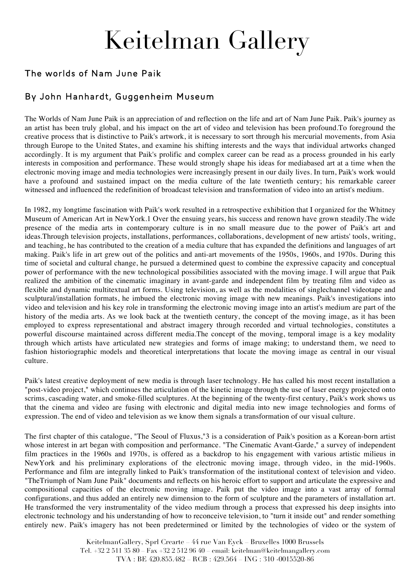# Keitelman Gallery

### The worlds of Nam June Paik

### By John Hanhardt, Guggenheim Museum

The Worlds of Nam June Paik is an appreciation of and reflection on the life and art of Nam June Paik. Paik's journey as an artist has been truly global, and his impact on the art of video and television has been profound.To foreground the creative process that is distinctive to Paik's artwork, it is necessary to sort through his mercurial movements, from Asia through Europe to the United States, and examine his shifting interests and the ways that individual artworks changed accordingly. It is my argument that Paik's prolific and complex career can be read as a process grounded in his early interests in composition and performance. These would strongly shape his ideas for mediabased art at a time when the electronic moving image and media technologies were increasingly present in our daily lives. In turn, Paik's work would have a profound and sustained impact on the media culture of the late twentieth century; his remarkable career witnessed and influenced the redefinition of broadcast television and transformation of video into an artist's medium.

In 1982, my longtime fascination with Paik's work resulted in a retrospective exhibition that I organized for the Whitney Museum of American Art in NewYork.1 Over the ensuing years, his success and renown have grown steadily.The wide presence of the media arts in contemporary culture is in no small measure due to the power of Paik's art and ideas.Through television projects, installations, performances, collaborations, development of new artists' tools, writing, and teaching, he has contributed to the creation of a media culture that has expanded the definitions and languages of art making. Paik's life in art grew out of the politics and anti-art movements of the 1950s, 1960s, and 1970s. During this time of societal and cultural change, he pursued a determined quest to combine the expressive capacity and conceptual power of performance with the new technological possibilities associated with the moving image. I will argue that Paik realized the ambition of the cinematic imaginary in avant-garde and independent film by treating film and video as flexible and dynamic multitextual art forms. Using television, as well as the modalities of singlechannel videotape and sculptural/installation formats, he imbued the electronic moving image with new meanings. Paik's investigations into video and television and his key role in transforming the electronic moving image into an artist's medium are part of the history of the media arts. As we look back at the twentieth century, the concept of the moving image, as it has been employed to express representational and abstract imagery through recorded and virtual technologies, constitutes a powerful discourse maintained across different media.The concept of the moving, temporal image is a key modality through which artists have articulated new strategies and forms of image making; to understand them, we need to fashion historiographic models and theoretical interpretations that locate the moving image as central in our visual culture.

Paik's latest creative deployment of new media is through laser technology. He has called his most recent installation a "post-video project," which continues the articulation of the kinetic image through the use of laser energy projected onto scrims, cascading water, and smoke-filled sculptures. At the beginning of the twenty-first century, Paik's work shows us that the cinema and video are fusing with electronic and digital media into new image technologies and forms of expression. The end of video and television as we know them signals a transformation of our visual culture.

The first chapter of this catalogue, "The Seoul of Fluxus,"3 is a consideration of Paik's position as a Korean-born artist whose interest in art began with composition and performance. "The Cinematic Avant-Garde," a survey of independent film practices in the 1960s and 1970s, is offered as a backdrop to his engagement with various artistic milieus in NewYork and his preliminary explorations of the electronic moving image, through video, in the mid-1960s. Performance and film are integrally linked to Paik's transformation of the institutional context of television and video. "TheTriumph of Nam June Paik" documents and reflects on his heroic effort to support and articulate the expressive and compositional capacities of the electronic moving image. Paik put the video image into a vast array of formal configurations, and thus added an entirely new dimension to the form of sculpture and the parameters of installation art. He transformed the very instrumentality of the video medium through a process that expressed his deep insights into electronic technology and his understanding of how to reconceive television, to "turn it inside out" and render something entirely new. Paik's imagery has not been predetermined or limited by the technologies of video or the system of

> KeitelmanGallery, Sprl Crearte – 44 rue Van Eyck – Bruxelles 1000 Brussels Tel.  $+32$  2 511 35 80 Fax  $+32$  2 512 96 40 – email: keitelman@keitelmangallery.com TVA : BE 420.855.482 – RCB : 429.564 – ING : 310 -0015520-86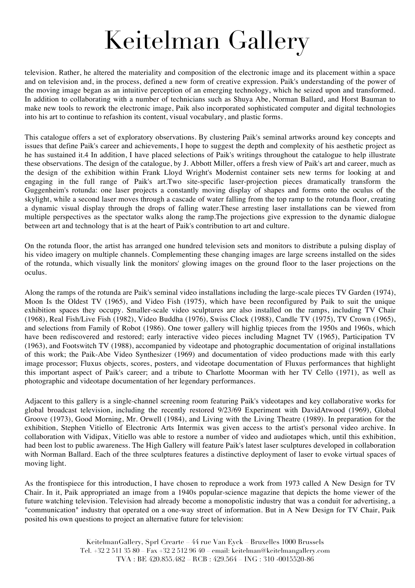## Keitelman Gallery

television. Rather, he altered the materiality and composition of the electronic image and its placement within a space and on television and, in the process, defined a new form of creative expression. Paik's understanding of the power of the moving image began as an intuitive perception of an emerging technology, which he seized upon and transformed. In addition to collaborating with a number of technicians such as Shuya Abe, Norman Ballard, and Horst Bauman to make new tools to rework the electronic image, Paik also incorporated sophisticated computer and digital technologies into his art to continue to refashion its content, visual vocabulary, and plastic forms.

This catalogue offers a set of exploratory observations. By clustering Paik's seminal artworks around key concepts and issues that define Paik's career and achievements, I hope to suggest the depth and complexity of his aesthetic project as he has sustained it.4 In addition, I have placed selections of Paik's writings throughout the catalogue to help illustrate these observations. The design of the catalogue, by J. Abbott Miller, offers a fresh view of Paik's art and career, much as the design of the exhibition within Frank Lloyd Wright's Modernist container sets new terms for looking at and engaging in the full range of Paik's art.Two site-specific laser-projection pieces dramatically transform the Guggenheim's rotunda: one laser projects a constantly moving display of shapes and forms onto the oculus of the skylight, while a second laser moves through a cascade of water falling from the top ramp to the rotunda floor, creating a dynamic visual display through the drops of falling water.These arresting laser installations can be viewed from multiple perspectives as the spectator walks along the ramp.The projections give expression to the dynamic dialogue between art and technology that is at the heart of Paik's contribution to art and culture.

On the rotunda floor, the artist has arranged one hundred television sets and monitors to distribute a pulsing display of his video imagery on multiple channels. Complementing these changing images are large screens installed on the sides of the rotunda, which visually link the monitors' glowing images on the ground floor to the laser projections on the oculus.

Along the ramps of the rotunda are Paik's seminal video installations including the large-scale pieces TV Garden (1974), Moon Is the Oldest TV (1965), and Video Fish (1975), which have been reconfigured by Paik to suit the unique exhibition spaces they occupy. Smaller-scale video sculptures are also installed on the ramps, including TV Chair (1968), Real Fish/Live Fish (1982), Video Buddha (1976), Swiss Clock (1988), Candle TV (1975), TV Crown (1965), and selections from Family of Robot (1986). One tower gallery will highlig tpieces from the 1950s and 1960s, which have been rediscovered and restored; early interactive video pieces including Magnet TV (1965), Participation TV (1963), and Footswitch TV (1988), accompanied by videotape and photographic documentation of original installations of this work; the Paik-Abe Video Synthesizer (1969) and documentation of video productions made with this early image processor; Fluxus objects, scores, posters, and videotape documentation of Fluxus performances that highlight this important aspect of Paik's career; and a tribute to Charlotte Moorman with her TV Cello (1971), as well as photographic and videotape documentation of her legendary performances.

Adjacent to this gallery is a single-channel screening room featuring Paik's videotapes and key collaborative works for global broadcast television, including the recently restored 9/23/69 Experiment with DavidAtwood (1969), Global Groove (1973), Good Morning, Mr. Orwell (1984), and Living with the Living Theatre (1989). In preparation for the exhibition, Stephen Vitiello of Electronic Arts Intermix was given access to the artist's personal video archive. In collaboration with Vidipax, Vitiello was able to restore a number of video and audiotapes which, until this exhibition, had been lost to public awareness. The High Gallery will feature Paik's latest laser sculptures developed in collaboration with Norman Ballard. Each of the three sculptures features a distinctive deployment of laser to evoke virtual spaces of moving light.

As the frontispiece for this introduction, I have chosen to reproduce a work from 1973 called A New Design for TV Chair. In it, Paik appropriated an image from a 1940s popular-science magazine that depicts the home viewer of the future watching television. Television had already become a monopolistic industry that was a conduit for advertising, a "communication" industry that operated on a one-way street of information. But in A New Design for TV Chair, Paik posited his own questions to project an alternative future for television:

> KeitelmanGallery, Sprl Crearte – 44 rue Van Eyck – Bruxelles 1000 Brussels Tel.  $+32.25113580$  Fax  $+32.25129640$  email: keitelman@keitelmangallery.com TVA : BE 420.855.482 – RCB : 429.564 – ING : 310 -0015520-86